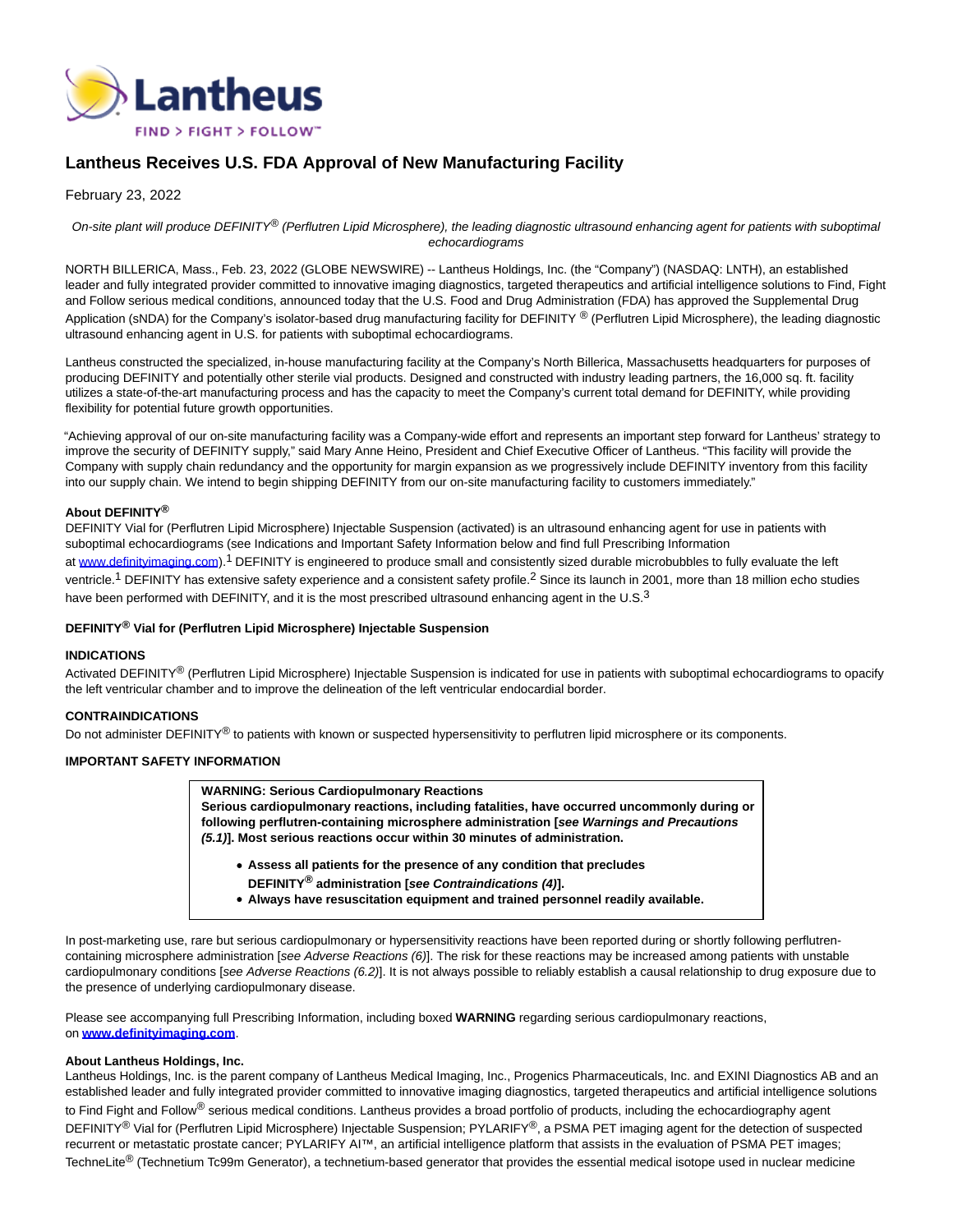

# **Lantheus Receives U.S. FDA Approval of New Manufacturing Facility**

## February 23, 2022

On-site plant will produce DEFINITY<sup>®</sup> (Perflutren Lipid Microsphere), the leading diagnostic ultrasound enhancing agent for patients with suboptimal echocardiograms

NORTH BILLERICA, Mass., Feb. 23, 2022 (GLOBE NEWSWIRE) -- Lantheus Holdings, Inc. (the "Company") (NASDAQ: LNTH), an established leader and fully integrated provider committed to innovative imaging diagnostics, targeted therapeutics and artificial intelligence solutions to Find, Fight and Follow serious medical conditions, announced today that the U.S. Food and Drug Administration (FDA) has approved the Supplemental Drug Application (sNDA) for the Company's isolator-based drug manufacturing facility for DEFINITY ® (Perflutren Lipid Microsphere), the leading diagnostic ultrasound enhancing agent in U.S. for patients with suboptimal echocardiograms.

Lantheus constructed the specialized, in-house manufacturing facility at the Company's North Billerica, Massachusetts headquarters for purposes of producing DEFINITY and potentially other sterile vial products. Designed and constructed with industry leading partners, the 16,000 sq. ft. facility utilizes a state-of-the-art manufacturing process and has the capacity to meet the Company's current total demand for DEFINITY, while providing flexibility for potential future growth opportunities.

"Achieving approval of our on-site manufacturing facility was a Company-wide effort and represents an important step forward for Lantheus' strategy to improve the security of DEFINITY supply," said Mary Anne Heino, President and Chief Executive Officer of Lantheus. "This facility will provide the Company with supply chain redundancy and the opportunity for margin expansion as we progressively include DEFINITY inventory from this facility into our supply chain. We intend to begin shipping DEFINITY from our on-site manufacturing facility to customers immediately."

#### **About DEFINITY®**

DEFINITY Vial for (Perflutren Lipid Microsphere) Injectable Suspension (activated) is an ultrasound enhancing agent for use in patients with suboptimal echocardiograms (see Indications and Important Safety Information below and find full Prescribing Information at [www.definityimaging.com\)](https://www.globenewswire.com/Tracker?data=yf7xuAyr6mShD21rKDn6b0FAwvmLhk1R7ORi2qSYUaP7m4saZ0fb3QxFXC45rY4mHu3ID0pj0in5YynHFmyrapjNZavxHr_9ntUVaTQWEyd7iO1J0c9Kalyav2VH7_e8aUGeiJdOg7fNL6Fz66Op8PwydZekoSS81aH22tDFwUuZ1xB3RLs0ZB2o-kat6NcMRfN0pN71dMoBoRc2ozlCP-bh9M1Kg1vrTdAzL-Q8C11rkQZqt9Qrxyv2TdPm6Qf-EicFrbCnq1SJlZDFMi5uxYNP2tupP6CqgLSWrsAZiGDxHnlR8ETtj8w2vz819w_PvpT4B9egrN7s15tnsVT4L560HfMiaJ7AbFAd2xZAIJo=).<sup>1</sup> DEFINITY is engineered to produce small and consistently sized durable microbubbles to fully evaluate the left ventricle.<sup>1</sup> DEFINITY has extensive safety experience and a consistent safety profile.<sup>2</sup> Since its launch in 2001, more than 18 million echo studies have been performed with DEFINITY, and it is the most prescribed ultrasound enhancing agent in the U.S.<sup>3</sup>

#### **DEFINITY® Vial for (Perflutren Lipid Microsphere) Injectable Suspension**

#### **INDICATIONS**

Activated DEFINITY<sup>®</sup> (Perflutren Lipid Microsphere) Injectable Suspension is indicated for use in patients with suboptimal echocardiograms to opacify the left ventricular chamber and to improve the delineation of the left ventricular endocardial border.

## **CONTRAINDICATIONS**

Do not administer DEFINITY<sup>®</sup> to patients with known or suspected hypersensitivity to perflutren lipid microsphere or its components.

## **IMPORTANT SAFETY INFORMATION**

**WARNING: Serious Cardiopulmonary Reactions**

**Serious cardiopulmonary reactions, including fatalities, have occurred uncommonly during or following perflutren-containing microsphere administration [see Warnings and Precautions (5.1)]. Most serious reactions occur within 30 minutes of administration.**

- **Assess all patients for the presence of any condition that precludes DEFINITY® administration [see Contraindications (4)].**
- **Always have resuscitation equipment and trained personnel readily available.**

In post-marketing use, rare but serious cardiopulmonary or hypersensitivity reactions have been reported during or shortly following perflutrencontaining microsphere administration [see Adverse Reactions (6)]. The risk for these reactions may be increased among patients with unstable cardiopulmonary conditions [see Adverse Reactions (6.2)]. It is not always possible to reliably establish a causal relationship to drug exposure due to the presence of underlying cardiopulmonary disease.

Please see accompanying full Prescribing Information, including boxed **WARNING** regarding serious cardiopulmonary reactions, on **[www.definityimaging.com](https://www.globenewswire.com/Tracker?data=yf7xuAyr6mShD21rKDn6b0FAwvmLhk1R7ORi2qSYUaPlN1mQIWQCT6hpyHQ4CK05wp62SjOxrd7aRgXnlYxBdD8VUFc0PKxlzxNfn0BcFdBqoi2-bN9FeHqWq0GvkTbsAZezD7cmojiyf_Si2HNpU40FN-nQW1jzfeAhek1SmEVk9CsV-9Kcj4shNbUQ5_zUEC5p7PTHaTpXzGQjXBVbnQcs99smBWNrpVnVgzXutstY9HYJ5njcc2fIo7lhJeBqJdJU1ZjVDSPxBGog3j9r2ule24s_UJBsB5H_JdqMdCHiJLn2FlOfCic6HtzogzTmj8dSXFqfhKol0R4H2ih0kR9GFWsPjDi6i9zrZBOZDhA=)**.

#### **About Lantheus Holdings, Inc.**

Lantheus Holdings, Inc. is the parent company of Lantheus Medical Imaging, Inc., Progenics Pharmaceuticals, Inc. and EXINI Diagnostics AB and an established leader and fully integrated provider committed to innovative imaging diagnostics, targeted therapeutics and artificial intelligence solutions to Find Fight and Follow<sup>®</sup> serious medical conditions. Lantheus provides a broad portfolio of products, including the echocardiography agent DEFINITY® Vial for (Perflutren Lipid Microsphere) Injectable Suspension; PYLARIFY®, a PSMA PET imaging agent for the detection of suspected recurrent or metastatic prostate cancer; PYLARIFY AI™, an artificial intelligence platform that assists in the evaluation of PSMA PET images; TechneLite<sup>®</sup> (Technetium Tc99m Generator), a technetium-based generator that provides the essential medical isotope used in nuclear medicine